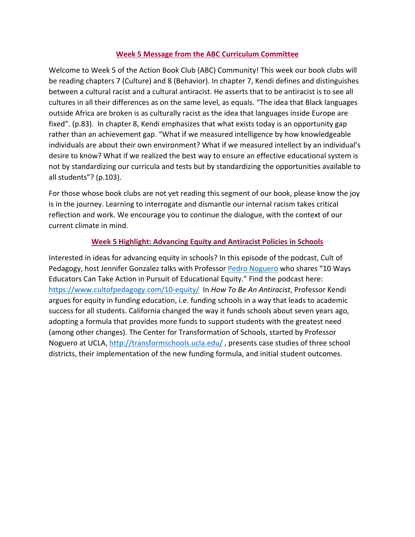## **Week 5 Message from the ABC Curriculum Committee**

Welcome to Week 5 of the Action Book Club (ABC) Community! This week our book clubs will be reading chapters 7 (Culture) and 8 (Behavior). In chapter 7, Kendi defines and distinguishes between a cultural racist and a cultural antiracist. He asserts that to be antiracist is to see all cultures in all their differences as on the same level, as equals. "The idea that Black languages outside Africa are broken is as culturally racist as the idea that languages inside Europe are fixed". (p.83). In chapter 8, Kendi emphasizes that what exists today is an opportunity gap rather than an achievement gap. "What if we measured intelligence by how knowledgeable individuals are about their own environment? What if we measured intellect by an individual's desire to know? What if we realized the best way to ensure an effective educational system is not by standardizing our curricula and tests but by standardizing the opportunities available to all students"? (p.103).

For those whose book clubs are not yet reading this segment of our book, please know the joy is in the journey. Learning to interrogate and dismantle our internal racism takes critical reflection and work. We encourage you to continue the dialogue, with the context of our current climate in mind.

## **Week 5 Highlight: Advancing Equity and Antiracist Policies in Schools**

Interested in ideas for advancing equity in schools? In this episode of the podcast, Cult of Pedagogy, host Jennifer Gonzalez talks with Professor Pedro Noguero who shares "10 Ways Educators Can Take Action in Pursuit of Educational Equity." Find the podcast here: https://www.cultofpedagogy.com/10-equity/ In *How To Be An Antiracist*, Professor Kendi argues for equity in funding education, i.e. funding schools in a way that leads to academic success for all students. California changed the way it funds schools about seven years ago, adopting a formula that provides more funds to support students with the greatest need (among other changes). The Center for Transformation of Schools, started by Professor Noguero at UCLA, http://transformschools.ucla.edu/, presents case studies of three school districts, their implementation of the new funding formula, and initial student outcomes.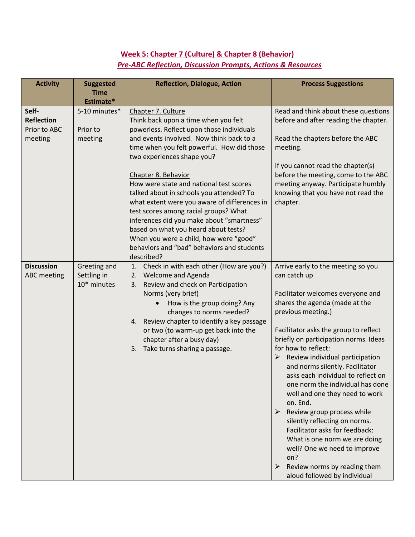## **Week 5: Chapter 7 (Culture) & Chapter 8 (Behavior)** *Pre-ABC Reflection, Discussion Prompts, Actions & Resources*

| <b>Activity</b>                                       | <b>Suggested</b><br><b>Time</b><br>Estimate* | <b>Reflection, Dialogue, Action</b>                                                                                                                                                                                                                                                                                                                                                                                                                                                                                                                                                                                               | <b>Process Suggestions</b>                                                                                                                                                                                                                                                                                                                                                                                                                                                                                                                                                                                                                                                                                |
|-------------------------------------------------------|----------------------------------------------|-----------------------------------------------------------------------------------------------------------------------------------------------------------------------------------------------------------------------------------------------------------------------------------------------------------------------------------------------------------------------------------------------------------------------------------------------------------------------------------------------------------------------------------------------------------------------------------------------------------------------------------|-----------------------------------------------------------------------------------------------------------------------------------------------------------------------------------------------------------------------------------------------------------------------------------------------------------------------------------------------------------------------------------------------------------------------------------------------------------------------------------------------------------------------------------------------------------------------------------------------------------------------------------------------------------------------------------------------------------|
| Self-<br><b>Reflection</b><br>Prior to ABC<br>meeting | 5-10 minutes*<br>Prior to<br>meeting         | Chapter 7. Culture<br>Think back upon a time when you felt<br>powerless. Reflect upon those individuals<br>and events involved. Now think back to a<br>time when you felt powerful. How did those<br>two experiences shape you?<br>Chapter 8. Behavior<br>How were state and national test scores<br>talked about in schools you attended? To<br>what extent were you aware of differences in<br>test scores among racial groups? What<br>inferences did you make about "smartness"<br>based on what you heard about tests?<br>When you were a child, how were "good"<br>behaviors and "bad" behaviors and students<br>described? | Read and think about these questions<br>before and after reading the chapter.<br>Read the chapters before the ABC<br>meeting.<br>If you cannot read the chapter(s)<br>before the meeting, come to the ABC<br>meeting anyway. Participate humbly<br>knowing that you have not read the<br>chapter.                                                                                                                                                                                                                                                                                                                                                                                                         |
| <b>Discussion</b><br><b>ABC</b> meeting               | Greeting and<br>Settling in<br>10* minutes   | Check in with each other (How are you?)<br>1.<br><b>Welcome and Agenda</b><br>2.<br>Review and check on Participation<br>3.<br>Norms (very brief)<br>How is the group doing? Any<br>$\bullet$<br>changes to norms needed?<br>4. Review chapter to identify a key passage<br>or two (to warm-up get back into the<br>chapter after a busy day)<br>Take turns sharing a passage.<br>5.                                                                                                                                                                                                                                              | Arrive early to the meeting so you<br>can catch up<br>Facilitator welcomes everyone and<br>shares the agenda (made at the<br>previous meeting.)<br>Facilitator asks the group to reflect<br>briefly on participation norms. Ideas<br>for how to reflect:<br>Review individual participation<br>➤<br>and norms silently. Facilitator<br>asks each individual to reflect on<br>one norm the individual has done<br>well and one they need to work<br>on. End.<br>Review group process while<br>≻<br>silently reflecting on norms.<br>Facilitator asks for feedback:<br>What is one norm we are doing<br>well? One we need to improve<br>on?<br>Review norms by reading them<br>aloud followed by individual |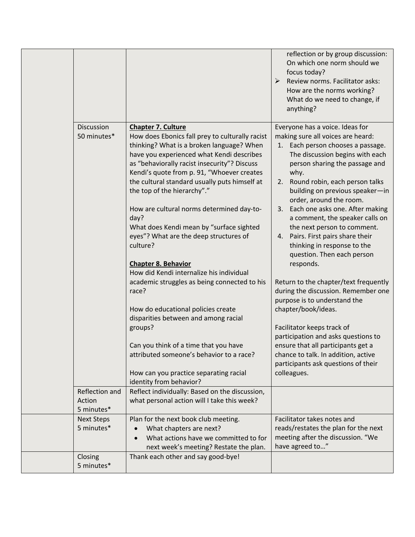|                                        |                                                                                                                                                                                                                                                                                                                                                                                                                                                                                                                                                                                                                                                                                                                              | reflection or by group discussion:<br>On which one norm should we<br>focus today?<br>$\triangleright$ Review norms. Facilitator asks:<br>How are the norms working?<br>What do we need to change, if<br>anything?                                                                                                                                                                                                                                                                                                                                                                                                                                                   |
|----------------------------------------|------------------------------------------------------------------------------------------------------------------------------------------------------------------------------------------------------------------------------------------------------------------------------------------------------------------------------------------------------------------------------------------------------------------------------------------------------------------------------------------------------------------------------------------------------------------------------------------------------------------------------------------------------------------------------------------------------------------------------|---------------------------------------------------------------------------------------------------------------------------------------------------------------------------------------------------------------------------------------------------------------------------------------------------------------------------------------------------------------------------------------------------------------------------------------------------------------------------------------------------------------------------------------------------------------------------------------------------------------------------------------------------------------------|
| Discussion<br>50 minutes*              | <b>Chapter 7. Culture</b><br>How does Ebonics fall prey to culturally racist<br>thinking? What is a broken language? When<br>have you experienced what Kendi describes<br>as "behaviorally racist insecurity"? Discuss<br>Kendi's quote from p. 91, "Whoever creates<br>the cultural standard usually puts himself at<br>the top of the hierarchy"."<br>How are cultural norms determined day-to-<br>day?<br>What does Kendi mean by "surface sighted<br>eyes"? What are the deep structures of<br>culture?<br><b>Chapter 8. Behavior</b><br>How did Kendi internalize his individual<br>academic struggles as being connected to his<br>race?<br>How do educational policies create<br>disparities between and among racial | Everyone has a voice. Ideas for<br>making sure all voices are heard:<br>Each person chooses a passage.<br>1.<br>The discussion begins with each<br>person sharing the passage and<br>why.<br>Round robin, each person talks<br>2.<br>building on previous speaker-in<br>order, around the room.<br>Each one asks one. After making<br>3.<br>a comment, the speaker calls on<br>the next person to comment.<br>Pairs. First pairs share their<br>4.<br>thinking in response to the<br>question. Then each person<br>responds.<br>Return to the chapter/text frequently<br>during the discussion. Remember one<br>purpose is to understand the<br>chapter/book/ideas. |
|                                        | groups?<br>Can you think of a time that you have<br>attributed someone's behavior to a race?<br>How can you practice separating racial<br>identity from behavior?                                                                                                                                                                                                                                                                                                                                                                                                                                                                                                                                                            | Facilitator keeps track of<br>participation and asks questions to<br>ensure that all participants get a<br>chance to talk. In addition, active<br>participants ask questions of their<br>colleagues.                                                                                                                                                                                                                                                                                                                                                                                                                                                                |
| Reflection and<br>Action<br>5 minutes* | Reflect individually: Based on the discussion,<br>what personal action will I take this week?                                                                                                                                                                                                                                                                                                                                                                                                                                                                                                                                                                                                                                |                                                                                                                                                                                                                                                                                                                                                                                                                                                                                                                                                                                                                                                                     |
| <b>Next Steps</b><br>5 minutes*        | Plan for the next book club meeting.<br>What chapters are next?<br>What actions have we committed to for<br>next week's meeting? Restate the plan.                                                                                                                                                                                                                                                                                                                                                                                                                                                                                                                                                                           | Facilitator takes notes and<br>reads/restates the plan for the next<br>meeting after the discussion. "We<br>have agreed to"                                                                                                                                                                                                                                                                                                                                                                                                                                                                                                                                         |
| Closing<br>5 minutes*                  | Thank each other and say good-bye!                                                                                                                                                                                                                                                                                                                                                                                                                                                                                                                                                                                                                                                                                           |                                                                                                                                                                                                                                                                                                                                                                                                                                                                                                                                                                                                                                                                     |